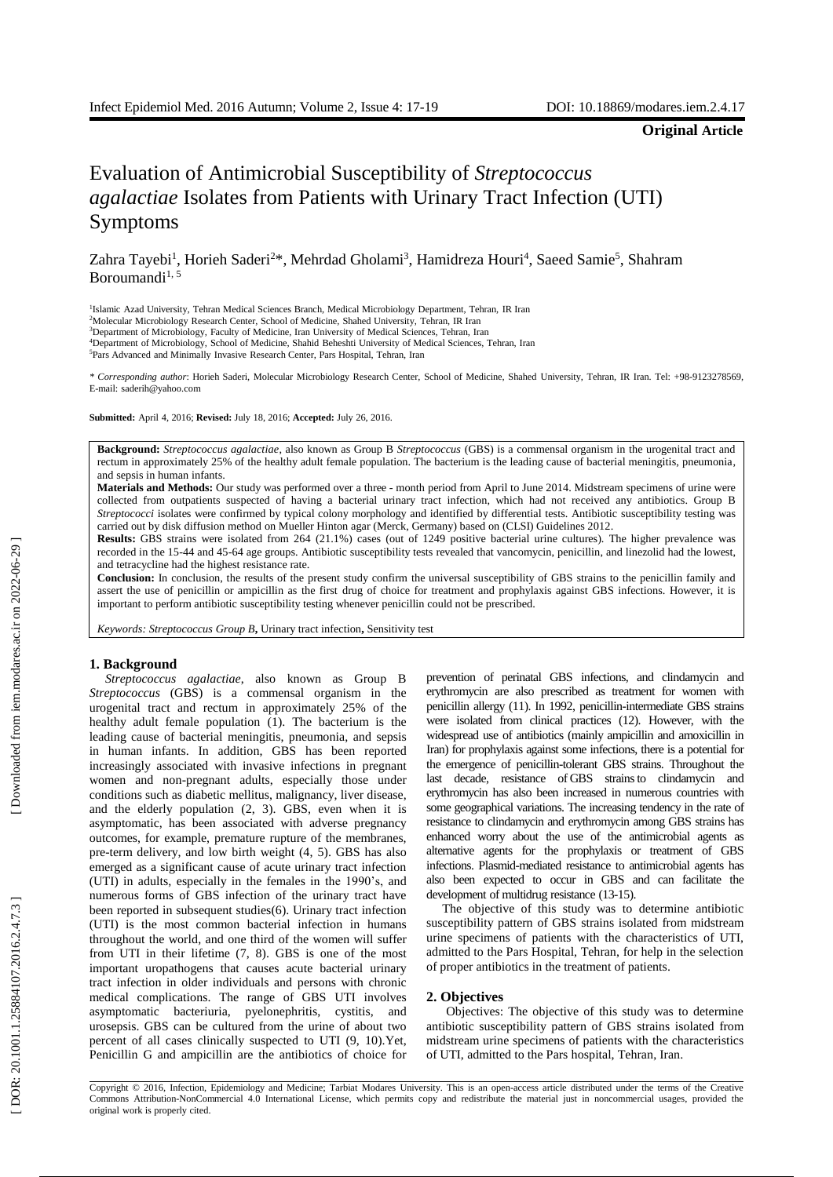**Original Article**

# Evaluation of Antimicrobial Susceptibility of *Streptococcus* agalactiae Isolates from Patients with Urinary Tract Infection (UTI) Symptoms

Zahra Tayebi<sup>1</sup>, Horieh Saderi<sup>2\*</sup>, Mehrdad Gholami<sup>3</sup>, Hamidreza Houri<sup>4</sup>, Saeed Samie<sup>5</sup>, Shahram Boroumandi<sup>1, 5</sup>

<sup>1</sup>Islamic Azad University, Tehran Medical Sciences Branch, Medical Microbiology Department, Tehran, IR Iran

<sup>4</sup>Department of Microbiology, School of Medicine, Shahid Beheshti University of Medical Sciences, Tehran, Iran

<sup>5</sup>Pars Advanced and Minimally Invasive Research Center, Pars Hospital, Tehran, Iran

*\* Corresponding author* : Horieh Saderi, Molecular Microbiology Research Center, School of Medicine, Shahed University, Tehran, IR Iran. Tel: +98 -9123278569 , E -mail: saderih@yahoo.com

**Submitted:** April 4, 2016; **Revised:** July 18, 2016; **Accepted:** July 26, 2016.

**Background:** *Streptococcus agalactiae*, also known as Group B *Streptococcus* (GBS) is a commensal organism in the urogenital tract and rectum in approximately 25% of the healthy adult female population. The bacterium is the leading cause of bacterial meningitis, pneumonia , and sepsis in human infants.

**Materials and Methods:** Our study was performed over a three - month period from April to June 2014. Midstream specimens of urine were collected from outpatients suspected of having a bacterial urinary tract infection, which had not received any antibiotics. Group B *Streptococci* isolates were confirmed by typical colony morphology and identified by differential tests. Antibiotic susceptibility testing was carried out by disk diffusion method on Mueller Hinton agar (Merck, Germany) based on (CLSI) Guidelines 2012 .

**Results:** GBS strains were isolated from 264 (21.1%) cases (out of 1249 positive bacterial urine cultures). The higher prevalence was recorded in the 15-44 and 45-64 age groups. Antibiotic susceptibility tests revealed that vancomycin, penicillin, and linezolid had the lowest, and tetracycline had the highest resistance rate.

**Conclusion:** In conclusion, the results of the present study confirm the universal susceptibility of GBS strains to the penicillin family and assert the use of penicillin or ampicillin as the first drug of choice for treatment and prophylaxis against GBS infections. However, it is important to perform antibiotic susceptibility testing whenever penicillin could not be prescribed.

*Keywords: Streptococcus Group B***,** Urinary tract infection**,** Sensitivity test

# **1. Background**

*Streptococcus agalactiae*, also known as Group B *Streptococcus* (GBS) is a commensal organism in the urogenital tract and rectum in approximately 25% of the healthy adult female population (1). The bacterium is the leading cause of bacterial meningitis, pneumonia , and sepsis in human infants. In addition, GBS has been reported increasingly associated with invasive infections in pregnant women and non -pregnant adults, especially those under conditions such as diabetic mellitus, malignancy, liver disease, and the elderly population (2, 3) . GBS, even when it is asymptomatic, has been associated with adverse pregnancy outcomes, for example, premature rupture of the membranes, pre -term delivery, and low birth weight (4, 5) . GBS has also emerged as a significant cause of acute urinary tract infection (UTI) in adults , especially in the female s in the 1990's, and numerous forms of GBS infection of the urinary tract have been reported in subsequent studies(6) . Urinary tract infection (UTI) is the most common bacterial infection in human s throughout the world , and one third of the women will suffer from UTI in their lifetime (7, 8) . GBS is one of the most important uropathogens that causes acute bacterial urinary tract infection in older individuals and persons with chronic medical complications. The range of GBS UTI involves asymptomatic bacteriuria, pyelonephritis, cystitis, and urosepsis. GBS can be cultured from the urine of about two percent of all cases clinically suspected to UTI (9, 10) .Yet, Penicillin G and ampicillin are the antibiotics of choice for

prevention of perinatal GBS infections , and clindamycin and erythromycin are also prescribed as treatment for women with penicillin allergy (11) . In 1992, penicillin -intermediate GBS strains were isolated from clinical practices (12). However, with the widespread use of antibiotics (mainly ampicillin and amoxicillin in Iran) for prophylaxis against some infections, there is a potential for the emergence of penicillin -tolerant GBS strains. Throughout the last decade, resistance of GBS strainsto clindamycin and erythromycin has also been increased in numerous countries with some geographical variations. The increasing tendency in the rate of resistance to clindamycin and erythromycin among GBS strains has enhanced worry about the use of the antimicrobial agents as alternative agents for the prophylaxis or treatment of GBS infections. Plasmid -mediated resistance to antimicrobial agent s has also been expected to occur in GBS and can facilitate the development of multidrug resistance (13-15).

The objective of this study was to determine antibiotic susceptibility pattern of GBS strains isolated from midstream urine specimen s of patient s with the characteristics of UTI, admitted to the Pars Hospital, Tehran, for help in the selection of proper antibiotics in the treatment of patients .

#### **2. Objectives**

Objectives: The objective of this study was to determine antibiotic susceptibility pattern of GBS strains isolated from midstream urine specimens of patients with the characteristics of UTI, admitted to the Pars hospital, Tehran, Iran .

Copyright © 2016, Infection, Epidemiology and Medicine; Tarbiat Modares University. This is an open -access article distributed under the terms of the Creative Commons Attribution -NonCommercial 4.0 International License, which permits copy and redistribute the material just in noncommercial usages, provided the original work is properly cited.

<sup>&</sup>lt;sup>2</sup>Molecular Microbiology Research Center, School of Medicine, Shahed University, Tehran, IR Iran

<sup>3</sup>Department of Microbiology, Faculty of Medicine, Iran University of Medical Sciences, Tehran, Iran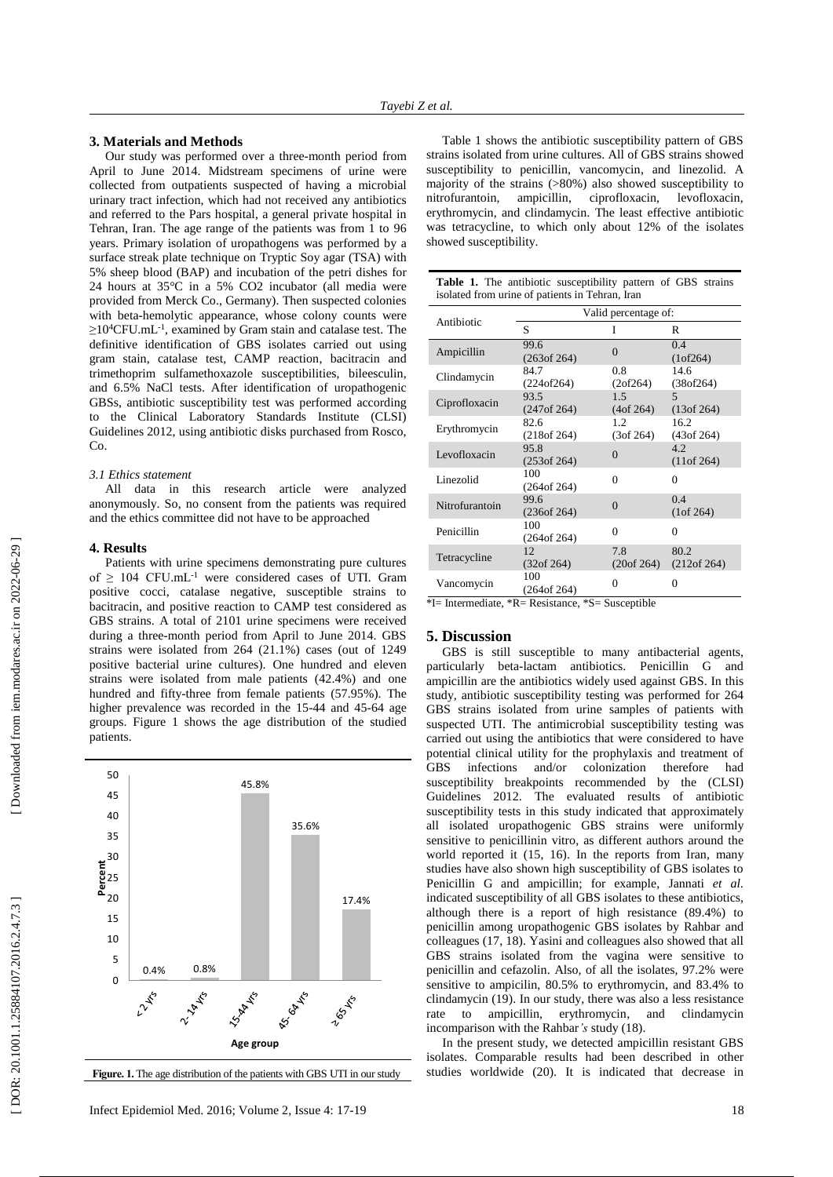# **3. Materials and Methods**

Our study was performed over a three -month period from April to June 2014. Midstream specimen s of urine were collected from outpatient s suspected of having a microbial urinary tract infection, which had not received any antibiotics and referred to the Pars hospital, a general private hospital in Tehran, Iran. The age range of the patients was from 1 to 9 6 years . Primary isolation of uropathogens was performed by a surface streak plate technique on Tryptic Soy agar (TSA) with 5% sheep blood (BAP) and incubation of the petri dishes for 24 hours at 35°C in a 5% CO2 incubator (all media were provided from Merck Co., Germany). Then suspected colonies with beta -hemolytic appearance, whose colony counts were ≥10<sup>4</sup>CFU.mL<sup>-1</sup>, examined by Gram stain and catalase test. The definitive identification of GBS isolates carried out using gram stain, catalase test, CAMP reaction, bacitracin and trimethoprim sulfamethoxazole susceptibilities, bileesculin, and 6.5% NaCl tests. After identification of uropathogenic GBSs, antibiotic susceptibility test was performed according to the Clinical Laboratory Standards Institute (CLSI) Guidelines 2012, using antibiotic disks purchased from Rosco,  $Co$ 

#### *3.1 Ethics statement*

All data in this research article were analyzed anonymously. So, no consent from the patients was required and the ethics committee did not have to be approached

## **4. Result s**

Patients with urine specimens demonstrating pure cultures of  $\geq 104$  CFU.mL<sup>-1</sup> were considered cases of UTI. Gram positive cocci, catalase negative, susceptible strains to bacitracin , and positive reaction to CAMP test considered as GBS strains. A total of 2101 urine specimens were received during a three -month period from April to June 2014. GBS strains were isolated from 264 (21.1%) cases (out of 1249 positive bacterial urine cultures). One hundred and eleven strains were isolated from male patients (42.4%) and one hundred and fifty -three from female patients (57.95%). The higher prevalence was recorded in the 15-44 and 45-64 age groups. Figure 1 show s the age distribution of the studied patients .



**Figure. 1.** The age distribution of the patients with GBS UTI in our study

Table 1 shows the antibiotic susceptibility pattern of GBS strains isolated from urine cultures. All of GBS strains showed susceptibility to penicillin, vancomycin , and linezolid. A majority of the strains (>80%) also showed susceptibility to nitrofurantoin, ampicillin, ciprofloxacin, levofloxacin, erythromycin , and clindamycin. The least effective antibiotic was tetracycline, to which only about 12% of the isolates showed susceptibility.

| <b>Table 1.</b> The antibiotic susceptibility pattern of GBS strains |  |  |
|----------------------------------------------------------------------|--|--|
| isolated from urine of patients in Tehran, Iran                      |  |  |

|                | Valid percentage of: |                              |                                 |  |
|----------------|----------------------|------------------------------|---------------------------------|--|
| Antibiotic     | S                    | I                            | R                               |  |
| Ampicillin     | 99.6<br>(263 of 264) | $\theta$                     | 0.4<br>(1 of 264)               |  |
| Clindamycin    | 84.7<br>(224 of 264) | 0.8<br>(2 of 264)            | 14.6<br>(38 of 264)             |  |
| Ciprofloxacin  | 93.5<br>(247 of 264) | 1.5<br>(4 <sup>of</sup> 264) | $\overline{5}$<br>$(13$ of 264) |  |
| Erythromycin   | 82.6<br>(218 of 264) | 1.2<br>(3 of 264)            | 16.2<br>(43 of 264)             |  |
| Levofloxacin   | 95.8<br>(253 of 264) | $\Omega$                     | 4.2.<br>(11 of 264)             |  |
| Linezolid      | 100<br>(264 of 264)  | 0                            | 0                               |  |
| Nitrofurantoin | 99.6<br>(236 of 264) | $\Omega$                     | 0.4<br>(1 of 264)               |  |
| Penicillin     | 100<br>(264 of 264)  | $\Omega$                     | $\Omega$                        |  |
| Tetracycline   | 12<br>(32 of 264)    | 7.8<br>(20 of 264)           | 80.2<br>(212 of 264)            |  |
| Vancomycin     | 100<br>(264 of 264)  | 0                            | 0                               |  |

<sup>\*</sup>I= Intermediate, \*R= Resistance, \*S= Susceptible

# **5. Discussion**

GBS is still susceptible to many antibacterial agents, particularly beta -lactam antibiotics. Penicillin G and ampicillin are the antibiotics widely used against GB S . In this study, antibiotic susceptibility testing was performed for 264 GBS strains isolated from urine samples of patients with suspected UTI. The antimicrobial susceptibility testing was carried out using the antibiotics that were considered to have potential clinical utility for the prophylaxis and treatment of GBS infections and/or colonization therefore had susceptibility breakpoints recommended by the (CLSI ) Guidelines 2012. The evaluated results of antibiotic susceptibility test s in this study indicated that approximately all isolated uropathogenic GBS strains were uniformly sensitive to penicillinin vitro , as different authors around the world reported it (15, 16) . In the reports from Iran, many studies have also shown high susceptibility of GBS isolates to Penicillin G and ampicillin; for example, Jannati *et al.*  indicated susceptibility of all GBS isolates to these antibiotics, although there is a report of high resistance (89.4%) to penicillin among uropathogenic GBS isolates by Rahbar and colleagues (17, 18) . Yasini and colleagues also showed that all GBS strains isolated from the vagina were sensitive to penicillin and cefazolin. Also , of all the isolates , 97.2 % were sensitive to ampicilin , 80.5% to erythromycin, and 83.4% to clindamycin (19) . In our study, there was also a less resistance rate to ampicillin, erythromycin , and clindamycin incomparison with the Rahbar*'s* study (18) .

In the present study, we detected ampicillin resistant GBS isolate s. Comparable results had been described in other studies worldwide (20 ). It is indicated that decreas e in